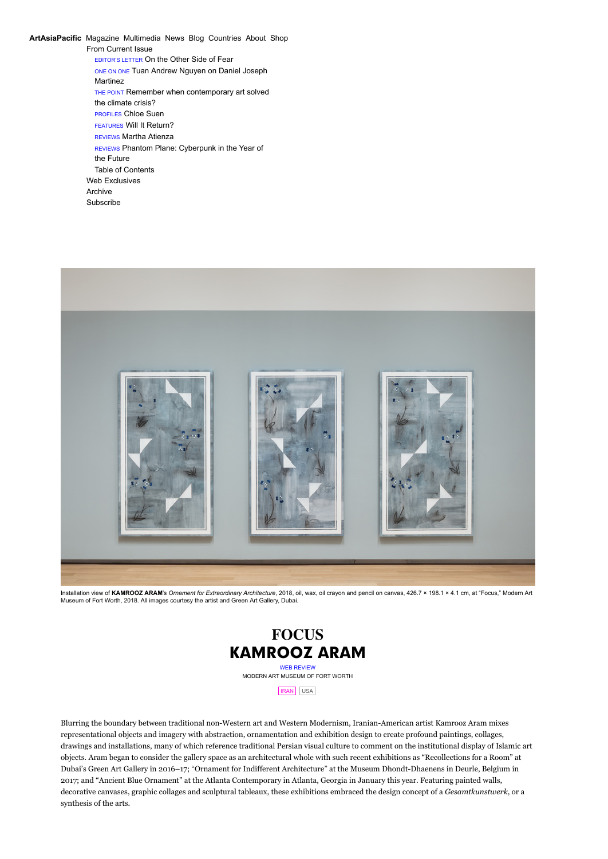From Current Issue EDITOR'S LETTER [On the Other Side of Fear](http://artasiapacific.com/Magazine/117/OnTheOtherSideOfFear) ONE ON ONE [Tuan Andrew Nguyen on Daniel Joseph](http://artasiapacific.com/Magazine/117/TuanAndrewNguyenOnDanielJosephMartinez) Martinez THE POINT [Remember when contemporary art solved](http://artasiapacific.com/Magazine/117/RememberWhenContemporaryArtSolvedTheClimateCrisis) the climate crisis? PROFILES [Chloe Suen](http://artasiapacific.com/Magazine/117/DeepRoots) FEATURES [Will It Return?](http://artasiapacific.com/Magazine/117/WillItReturn) REVIEWS [Martha Atienza](http://artasiapacific.com/Magazine/117/EquationOfState) REVIEWS [Phantom Plane: Cyberpunk in the Year of](http://artasiapacific.com/Magazine/117/PhantomPlaneCyberpunkInTheYearOfTheFuture) the Future [Table of Contents](http://artasiapacific.com/Magazine/117) [Web Exclusives](http://artasiapacific.com/Magazine/WebExclusives) [Archive](http://artasiapacific.com/Magazine/Archive) [Subscribe](http://artasiapacific.com/Shop/Subscribe) **[ArtAsiaPacific](http://artasiapacific.com/)** [Magazine](http://artasiapacific.com/Magazine/117/OnTheOtherSideOfFear) [Multimedia](http://artasiapacific.com/Projects) [News](http://artasiapacific.com/News) [Blog](http://artasiapacific.com/Blog) [Countries](http://artasiapacific.com/Countries/Almanac) [About](http://artasiapacific.com/About/History) [Shop](http://artasiapacific.com/Shop/Products)



Installation view of **KAMROOZ ARAM**'s *Ornament for Extraordinary Architecture*, 2018, oil, wax, oil crayon and pencil on canvas, 426.7 × 198.1 × 4.1 cm, at "Focus," Modern Art Museum of Fort Worth, 2018. All images courtesy the artist and Green Art Gallery, Dubai.



Blurring the boundary between traditional non-Western art and Western Modernism, Iranian-American artist Kamrooz Aram mixes representational objects and imagery with abstraction, ornamentation and exhibition design to create profound paintings, collages, drawings and installations, many of which reference traditional Persian visual culture to comment on the institutional display of Islamic art objects. Aram began to consider the gallery space as an architectural whole with such recent exhibitions as "Recollections for a Room" at Dubai's Green Art Gallery in 2016–17; "Ornament for Indifferent Architecture" at the Museum Dhondt-Dhaenens in Deurle, Belgium in 2017; and "Ancient Blue Ornament" at the Atlanta Contemporary in Atlanta, Georgia in January this year. Featuring painted walls, decorative canvases, graphic collages and sculptural tableaux, these exhibitions embraced the design concept of a *Gesamtkunstwerk*, or a synthesis of the arts.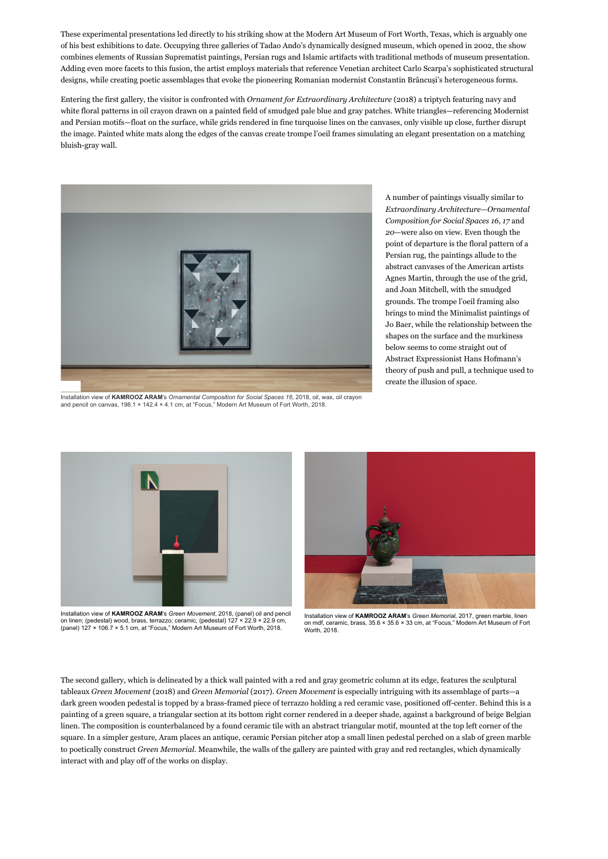These experimental presentations led directly to his striking show at the Modern Art Museum of Fort Worth, Texas, which is arguably one of his best exhibitions to date. Occupying three galleries of Tadao Ando's dynamically designed museum, which opened in 2002, the show combines elements of Russian Suprematist paintings, Persian rugs and Islamic artifacts with traditional methods of museum presentation. Adding even more facets to this fusion, the artist employs materials that reference Venetian architect Carlo Scarpa's sophisticated structural designs, while creating poetic assemblages that evoke the pioneering Romanian modernist Constantin Brâncuși's heterogeneous forms.

Entering the first gallery, the visitor is confronted with *Ornament for Extraordinary Architecture* (2018) a triptych featuring navy and white floral patterns in oil crayon drawn on a painted field of smudged pale blue and gray patches. White triangles—referencing Modernist and Persian motifs—float on the surface, while grids rendered in fine turquoise lines on the canvases, only visible up close, further disrupt the image. Painted white mats along the edges of the canvas create trompe l'oeil frames simulating an elegant presentation on a matching bluish-gray wall.



Installation view of **KAMROOZ ARAM**'s *Ornamental Composition for Social Spaces 16*, 2018, oil, wax, oil crayon<br>and pencil on canvas, 198.1 × 142.4 × 4.1 cm, at "Focus," Modern Art Museum of Fort Worth, 2018.

A number of paintings visually similar to *Extraordinary Architecture*—*Ornamental Composition for Social Spaces 16*, *17* and *20*—were also on view. Even though the point of departure is the floral pattern of a Persian rug, the paintings allude to the abstract canvases of the American artists Agnes Martin, through the use of the grid, and Joan Mitchell, with the smudged grounds. The trompe l'oeil framing also brings to mind the Minimalist paintings of Jo Baer, while the relationship between the shapes on the surface and the murkiness below seems to come straight out of Abstract Expressionist Hans Hofmann's theory of push and pull, a technique used to create the illusion of space.



Installation view of **KAMROOZ ARAM**'s *Green Movement*, 2018, (panel) oil and pencil on linen; (pedestal) wood, brass, terrazzo; ceramic, (pedestal) 127 × 22.9 × 22.9 cm, (panel) 127 × 106.7 × 5.1 cm, at "Focus," Modern Art Museum of Fort Worth, 2018.



Installation view of **KAMROOZ ARAM**'s *Green Memorial*, 2017, green marble, linen on mdf, ceramic, brass, 35.6 × 35.6 × 33 cm, at "Focus," Modern Art Museum of Fort Worth, 2018.

The second gallery, which is delineated by a thick wall painted with a red and gray geometric column at its edge, features the sculptural tableaux *Green Movement* (2018) and *Green Memorial* (2017). *Green Movement* is especially intriguing with its assemblage of parts—a dark green wooden pedestal is topped by a brass-framed piece of terrazzo holding a red ceramic vase, positioned off-center. Behind this is a painting of a green square, a triangular section at its bottom right corner rendered in a deeper shade, against a background of beige Belgian linen. The composition is counterbalanced by a found ceramic tile with an abstract triangular motif, mounted at the top left corner of the square. In a simpler gesture, Aram places an antique, ceramic Persian pitcher atop a small linen pedestal perched on a slab of green marble to poetically construct *Green Memorial*. Meanwhile, the walls of the gallery are painted with gray and red rectangles, which dynamically interact with and play off of the works on display.